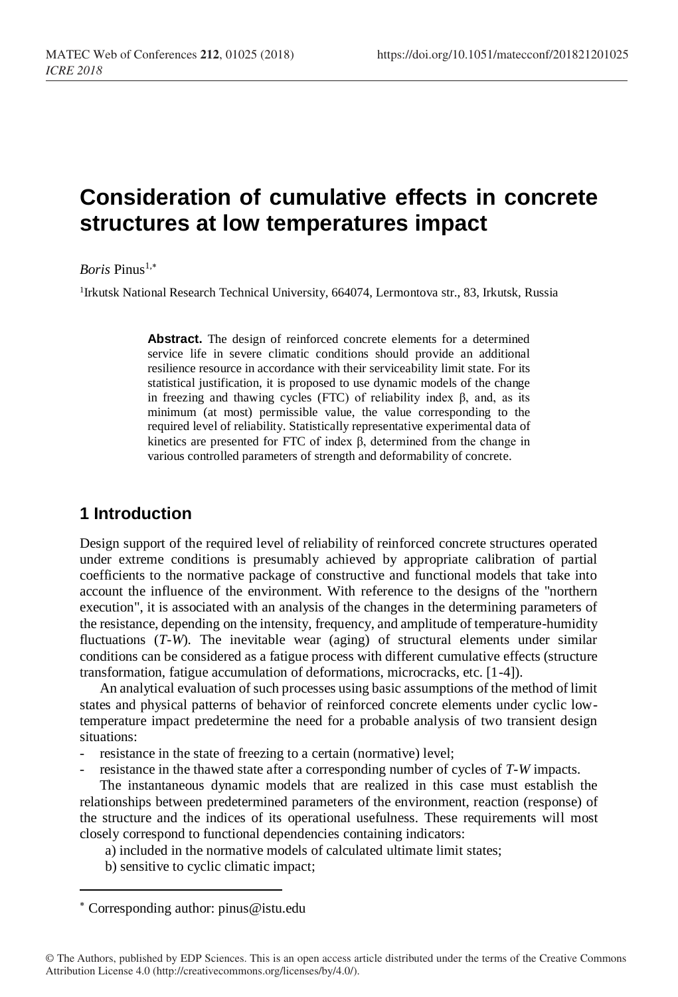# **Consideration of cumulative effects in concrete structures at low temperatures impact**

*Boris* Pinus1,

<sup>1</sup>Irkutsk National Research Technical University, 664074, Lermontova str., 83, Irkutsk, Russia

**Abstract.** The design of reinforced concrete elements for a determined service life in severe climatic conditions should provide an additional resilience resource in accordance with their serviceability limit state. For its statistical justification, it is proposed to use dynamic models of the change in freezing and thawing cycles (FTC) of reliability index β, and, as its minimum (at most) permissible value, the value corresponding to the required level of reliability. Statistically representative experimental data of kinetics are presented for FTC of index β, determined from the change in various controlled parameters of strength and deformability of concrete.

## **1 Introduction**

Design support of the required level of reliability of reinforced concrete structures operated under extreme conditions is presumably achieved by appropriate calibration of partial coefficients to the normative package of constructive and functional models that take into account the influence of the environment. With reference to the designs of the "northern execution", it is associated with an analysis of the changes in the determining parameters of the resistance, depending on the intensity, frequency, and amplitude of temperature-humidity fluctuations (*T-W*). The inevitable wear (aging) of structural elements under similar conditions can be considered as a fatigue process with different cumulative effects (structure transformation, fatigue accumulation of deformations, microcracks, etc. [1-4]).

An analytical evaluation of such processes using basic assumptions of the method of limit states and physical patterns of behavior of reinforced concrete elements under cyclic lowtemperature impact predetermine the need for a probable analysis of two transient design situations:

- resistance in the state of freezing to a certain (normative) level;
- resistance in the thawed state after a corresponding number of cycles of *T-W* impacts.

The instantaneous dynamic models that are realized in this case must establish the relationships between predetermined parameters of the environment, reaction (response) of the structure and the indices of its operational usefulness. These requirements will most closely correspond to functional dependencies containing indicators:

a) included in the normative models of calculated ultimate limit states;

b) sensitive to cyclic climatic impact;

Corresponding author: [pinus@istu.edu](mailto:pinus@istu.edu)

l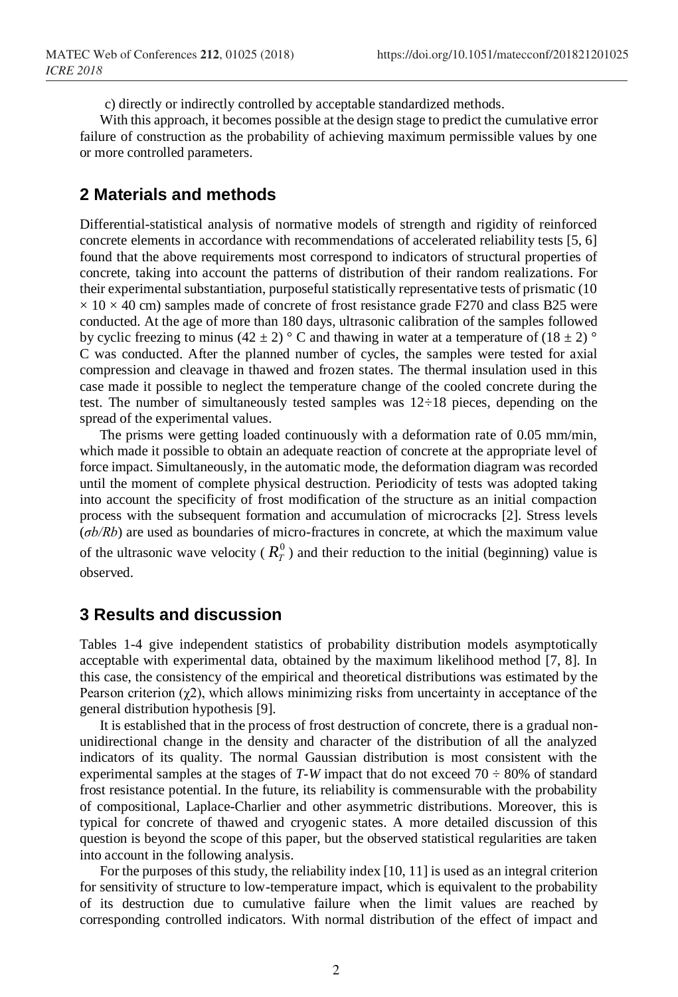c) directly or indirectly controlled by acceptable standardized methods.

With this approach, it becomes possible at the design stage to predict the cumulative error failure of construction as the probability of achieving maximum permissible values by one or more controlled parameters.

### **2 Materials and methods**

Differential-statistical analysis of normative models of strength and rigidity of reinforced concrete elements in accordance with recommendations of accelerated reliability tests [5, 6] found that the above requirements most correspond to indicators of structural properties of concrete, taking into account the patterns of distribution of their random realizations. For their experimental substantiation, purposeful statistically representative tests of prismatic (10  $\times$  10  $\times$  40 cm) samples made of concrete of frost resistance grade F270 and class B25 were conducted. At the age of more than 180 days, ultrasonic calibration of the samples followed by cyclic freezing to minus (42 ± 2)  $\degree$  C and thawing in water at a temperature of (18 ± 2)  $\degree$ C was conducted. After the planned number of cycles, the samples were tested for axial compression and cleavage in thawed and frozen states. The thermal insulation used in this case made it possible to neglect the temperature change of the cooled concrete during the test. The number of simultaneously tested samples was 12÷18 pieces, depending on the spread of the experimental values.

The prisms were getting loaded continuously with a deformation rate of 0.05 mm/min, which made it possible to obtain an adequate reaction of concrete at the appropriate level of force impact. Simultaneously, in the automatic mode, the deformation diagram was recorded until the moment of complete physical destruction. Periodicity of tests was adopted taking into account the specificity of frost modification of the structure as an initial compaction process with the subsequent formation and accumulation of microcracks [2]. Stress levels (*σb/Rb*) are used as boundaries of micro-fractures in concrete, at which the maximum value of the ultrasonic wave velocity ( $R_T^0$ ) and their reduction to the initial (beginning) value is observed.

#### **3 Results and discussion**

Tables 1-4 give independent statistics of probability distribution models asymptotically acceptable with experimental data, obtained by the maximum likelihood method [7, 8]. In this case, the consistency of the empirical and theoretical distributions was estimated by the Pearson criterion  $(\chi^2)$ , which allows minimizing risks from uncertainty in acceptance of the general distribution hypothesis [9].

It is established that in the process of frost destruction of concrete, there is a gradual nonunidirectional change in the density and character of the distribution of all the analyzed indicators of its quality. The normal Gaussian distribution is most consistent with the experimental samples at the stages of  $T-W$  impact that do not exceed  $70 \div 80\%$  of standard frost resistance potential. In the future, its reliability is commensurable with the probability of compositional, Laplace-Charlier and other asymmetric distributions. Moreover, this is typical for concrete of thawed and cryogenic states. A more detailed discussion of this question is beyond the scope of this paper, but the observed statistical regularities are taken into account in the following analysis.

For the purposes of this study, the reliability index [10, 11] is used as an integral criterion for sensitivity of structure to low-temperature impact, which is equivalent to the probability of its destruction due to cumulative failure when the limit values are reached by corresponding controlled indicators. With normal distribution of the effect of impact and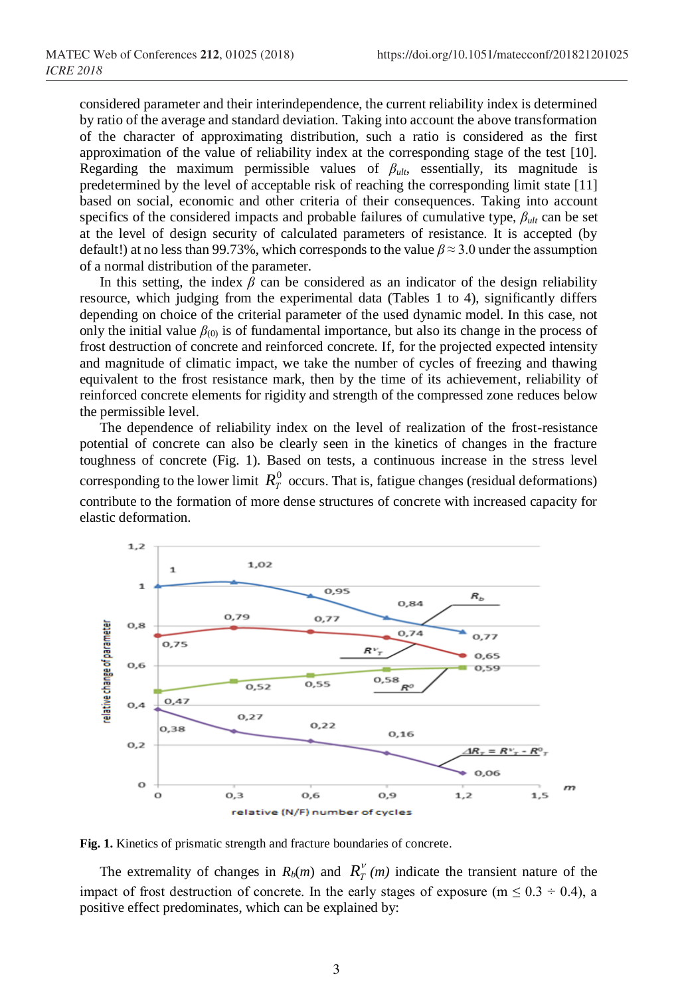considered parameter and their interindependence, the current reliability index is determined by ratio of the average and standard deviation. Taking into account the above transformation of the character of approximating distribution, such a ratio is considered as the first approximation of the value of reliability index at the corresponding stage of the test [10]. Regarding the maximum permissible values of  $\beta_{ult}$ , essentially, its magnitude is predetermined by the level of acceptable risk of reaching the corresponding limit state [11] based on social, economic and other criteria of their consequences. Taking into account specifics of the considered impacts and probable failures of cumulative type, *βult* can be set at the level of design security of calculated parameters of resistance. It is accepted (by default!) at no less than 99.73%, which corresponds to the value *β* ≈ 3.0 under the assumption of a normal distribution of the parameter.

In this setting, the index  $\beta$  can be considered as an indicator of the design reliability resource, which judging from the experimental data (Tables 1 to 4), significantly differs depending on choice of the criterial parameter of the used dynamic model. In this case, not only the initial value  $\beta_{(0)}$  is of fundamental importance, but also its change in the process of frost destruction of concrete and reinforced concrete. If, for the projected expected intensity and magnitude of climatic impact, we take the number of cycles of freezing and thawing equivalent to the frost resistance mark, then by the time of its achievement, reliability of reinforced concrete elements for rigidity and strength of the compressed zone reduces below the permissible level.

The dependence of reliability index on the level of realization of the frost-resistance potential of concrete can also be clearly seen in the kinetics of changes in the fracture toughness of concrete (Fig. 1). Based on tests, a continuous increase in the stress level corresponding to the lower limit  $R_T^0$  occurs. That is, fatigue changes (residual deformations) contribute to the formation of more dense structures of concrete with increased capacity for elastic deformation.



**Fig. 1.** Kinetics of prismatic strength and fracture boundaries of concrete.

The extremality of changes in  $R_b(m)$  and  $R_T^V(m)$  indicate the transient nature of the impact of frost destruction of concrete. In the early stages of exposure ( $m \le 0.3 \div 0.4$ ), a positive effect predominates, which can be explained by: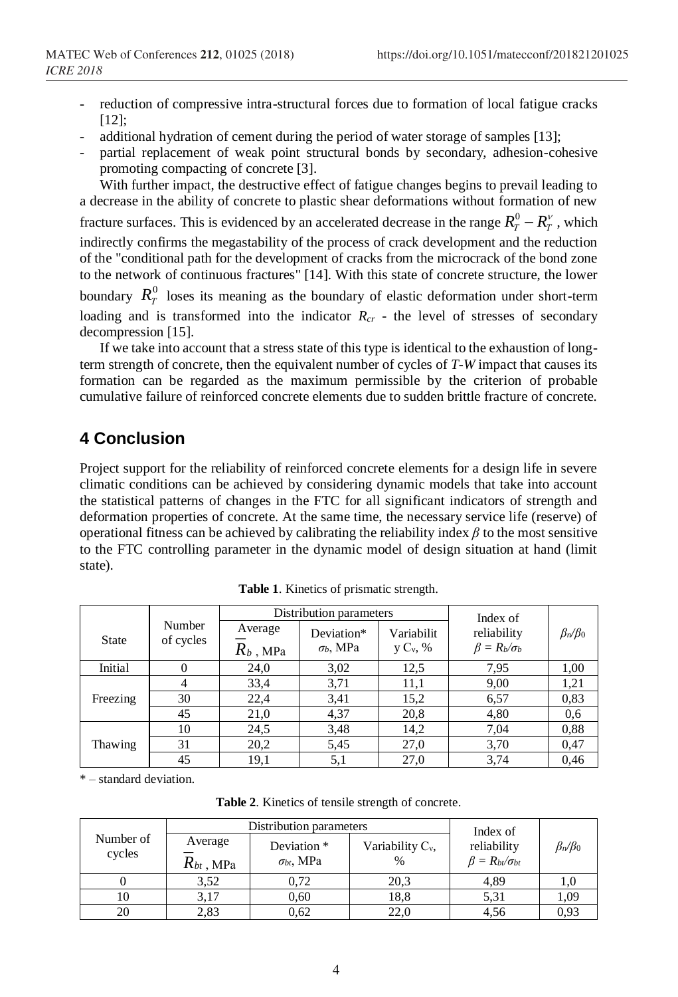- reduction of compressive intra-structural forces due to formation of local fatigue cracks [12]:
- additional hydration of cement during the period of water storage of samples [13];
- partial replacement of weak point structural bonds by secondary, adhesion-cohesive promoting compacting of concrete [3].

With further impact, the destructive effect of fatigue changes begins to prevail leading to a decrease in the ability of concrete to plastic shear deformations without formation of new fracture surfaces. This is evidenced by an accelerated decrease in the range  $R_T^0 - R_T^{\nu}$ , which indirectly confirms the megastability of the process of crack development and the reduction of the "conditional path for the development of cracks from the microcrack of the bond zone to the network of continuous fractures" [14]. With this state of concrete structure, the lower boundary  $R_T^0$  loses its meaning as the boundary of elastic deformation under short-term loading and is transformed into the indicator  $R<sub>cr</sub>$  - the level of stresses of secondary decompression [15].

If we take into account that a stress state of this type is identical to the exhaustion of longterm strength of concrete, then the equivalent number of cycles of *T-W* impact that causes its formation can be regarded as the maximum permissible by the criterion of probable cumulative failure of reinforced concrete elements due to sudden brittle fracture of concrete.

## **4 Conclusion**

Project support for the reliability of reinforced concrete elements for a design life in severe climatic conditions can be achieved by considering dynamic models that take into account the statistical patterns of changes in the FTC for all significant indicators of strength and deformation properties of concrete. At the same time, the necessary service life (reserve) of operational fitness can be achieved by calibrating the reliability index *β* to the most sensitive to the FTC controlling parameter in the dynamic model of design situation at hand (limit state).

|              |                     |                        | Distribution parameters        | Index of                  |                                       |                   |
|--------------|---------------------|------------------------|--------------------------------|---------------------------|---------------------------------------|-------------------|
| <b>State</b> | Number<br>of cycles | Average<br>$R_b$ , MPa | Deviation*<br>$\sigma_b$ , MPa | Variabilit<br>$y C_v$ , % | reliability<br>$\beta = R_b/\sigma_b$ | $\beta_n/\beta_0$ |
| Initial      |                     | 24,0                   | 3,02                           | 12,5                      | 7,95                                  | 1,00              |
|              |                     | 33,4                   | 3,71                           | 11,1                      | 9,00                                  | 1,21              |
| Freezing     | 30                  | 22,4                   | 3,41                           | 15,2                      | 6,57                                  | 0,83              |
|              | 45                  | 21,0                   | 4,37                           | 20,8                      | 4,80                                  | 0.6               |
|              | 10                  | 24,5                   | 3.48                           | 14,2                      | 7,04                                  | 0.88              |
| Thawing      | 31                  | 20,2                   | 5,45                           | 27,0                      | 3,70                                  | 0,47              |
|              | 45                  | 19,1                   | 5,1                            | 27,0                      | 3,74                                  | 0.46              |

**Table 1**. Kinetics of prismatic strength.

\* – standard deviation.

| Number of<br>cycles |                           | Distribution parameters            | Index of                    |                                             |                   |
|---------------------|---------------------------|------------------------------------|-----------------------------|---------------------------------------------|-------------------|
|                     | Average<br>$R_{bt}$ , MPa | Deviation *<br>$\sigma_{bt}$ , MPa | Variability $C_v$ ,<br>$\%$ | reliability<br>$\beta = R_{bt}/\sigma_{bt}$ | $\beta_n/\beta_0$ |
|                     | 3,52                      | 0.72                               | 20,3                        | 4,89                                        | 1.0               |
| 10                  | 3,17                      | 0,60                               | 18,8                        | 5,31                                        | 1,09              |
| 20                  | 2,83                      | 0,62                               | 22,0                        | 4,56                                        | 0.93              |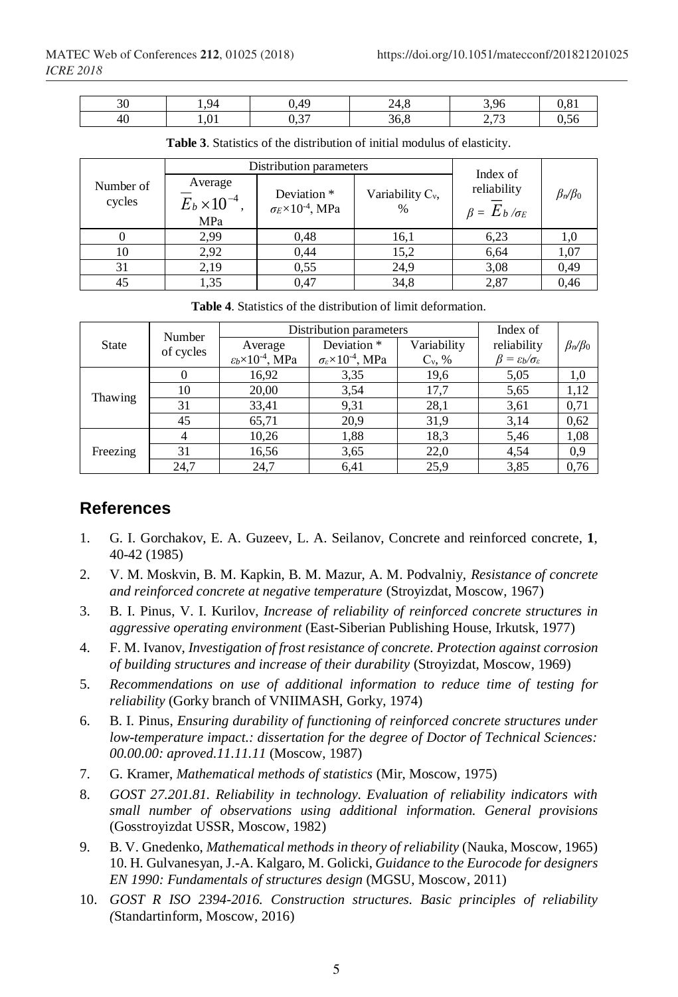| $\sim$ $\sim$<br>υU | $Q_{\Delta}$<br> | .49               | 74<br>47.O | 3.96                   |      |
|---------------------|------------------|-------------------|------------|------------------------|------|
| - 46                | 1,01             | $\sim$ 0.7<br>∪∙∼ | 36,8       | $\sim$ $\sim$<br>ر رہے | ∪.∪∪ |

**Table 3**. Statistics of the distribution of initial modulus of elasticity.

|                     |                                                   | Distribution parameters                                   | Index of                    |                                         |                   |
|---------------------|---------------------------------------------------|-----------------------------------------------------------|-----------------------------|-----------------------------------------|-------------------|
| Number of<br>cycles | Average<br>$\overline{E}_b \times 10^{-4}$<br>MPa | Deviation *<br>$\sigma$ E $\times$ 10 <sup>-4</sup> , MPa | Variability $C_v$ ,<br>$\%$ | reliability<br>$\beta = E_b / \sigma_E$ | $\beta_n/\beta_0$ |
|                     | 2,99                                              | 0.48                                                      | 16,1                        | 6,23                                    | 1,0               |
| 10                  | 2,92                                              | 0,44                                                      | 15,2                        | 6,64                                    | 1,07              |
| 31                  | 2,19                                              | 0.55                                                      | 24,9                        | 3,08                                    | 0,49              |
| 45                  | 1.35                                              | 0.47                                                      | 34,8                        | 2,87                                    | 0.46              |

**Table 4**. Statistics of the distribution of limit deformation.

| <b>State</b> | Number<br>of cycles | Distribution parameters           | Index of                                    |             |                                              |                   |
|--------------|---------------------|-----------------------------------|---------------------------------------------|-------------|----------------------------------------------|-------------------|
|              |                     | Average                           | Deviation <sup>*</sup>                      | Variability | reliability                                  | $\beta_n/\beta_0$ |
|              |                     | $\epsilon_b \times 10^{-4}$ , MPa | $\sigma_{\varepsilon} \times 10^{-4}$ , MPa | $C_v$ , %   | $\beta = \varepsilon_b/\sigma_{\varepsilon}$ |                   |
|              |                     | 16,92                             | 3,35                                        | 19,6        | 5,05                                         | 1,0               |
| Thawing      | 10                  | 20,00                             | 3,54                                        | 17,7        | 5,65                                         | 1,12              |
|              | 31                  | 33,41                             | 9,31                                        | 28,1        | 3,61                                         | 0,71              |
|              | 45                  | 65,71                             | 20,9                                        | 31,9        | 3,14                                         | 0,62              |
|              |                     | 10,26                             | 1,88                                        | 18,3        | 5.46                                         | 1,08              |
| Freezing     | 31                  | 16,56                             | 3,65                                        | 22,0        | 4,54                                         | 0,9               |
|              | 24,7                | 24,7                              | 6,41                                        | 25,9        | 3,85                                         | 0,76              |

#### **References**

- 1. G. I. Gorchakov, E. A. Guzeev, L. A. Seilanov, Concrete and reinforced concrete, **1**, 40-42 (1985)
- 2. V. M. Moskvin, B. M. Kapkin, B. M. Mazur, A. M. Podvalniy, *Resistance of concrete and reinforced concrete at negative temperature* (Stroyizdat, Moscow, 1967)
- 3. B. I. Pinus, V. I. Kurilov, *Increase of reliability of reinforced concrete structures in aggressive operating environment* (East-Siberian Publishing House, Irkutsk, 1977)
- 4. F. M. Ivanov, *Investigation of frost resistance of concrete. Protection against corrosion of building structures and increase of their durability* (Stroyizdat, Moscow, 1969)
- 5. *Recommendations on use of additional information to reduce time of testing for reliability* (Gorky branch of VNIIMASH, Gorky, 1974)
- 6. B. I. Pinus, *Ensuring durability of functioning of reinforced concrete structures under low-temperature impact.: dissertation for the degree of Doctor of Technical Sciences: 00.00.00: aproved.11.11.11* (Moscow, 1987)
- 7. G. Kramer, *Mathematical methods of statistics* (Mir, Moscow, 1975)
- 8. *GOST 27.201.81. Reliability in technology. Evaluation of reliability indicators with small number of observations using additional information. General provisions* (Gosstroyizdat USSR, Moscow, 1982)
- 9. B. V. Gnedenko, *Mathematical methods in theory of reliability* (Nauka, Moscow, 1965) 10. H. Gulvanesyan, J.-A. Kalgaro, M. Golicki, *Guidance to the Eurocode for designers EN 1990: Fundamentals of structures design* (MGSU, Moscow, 2011)
- 10. *GOST R ISO 2394-2016. Construction structures. Basic principles of reliability (*Standartinform, Moscow, 2016)